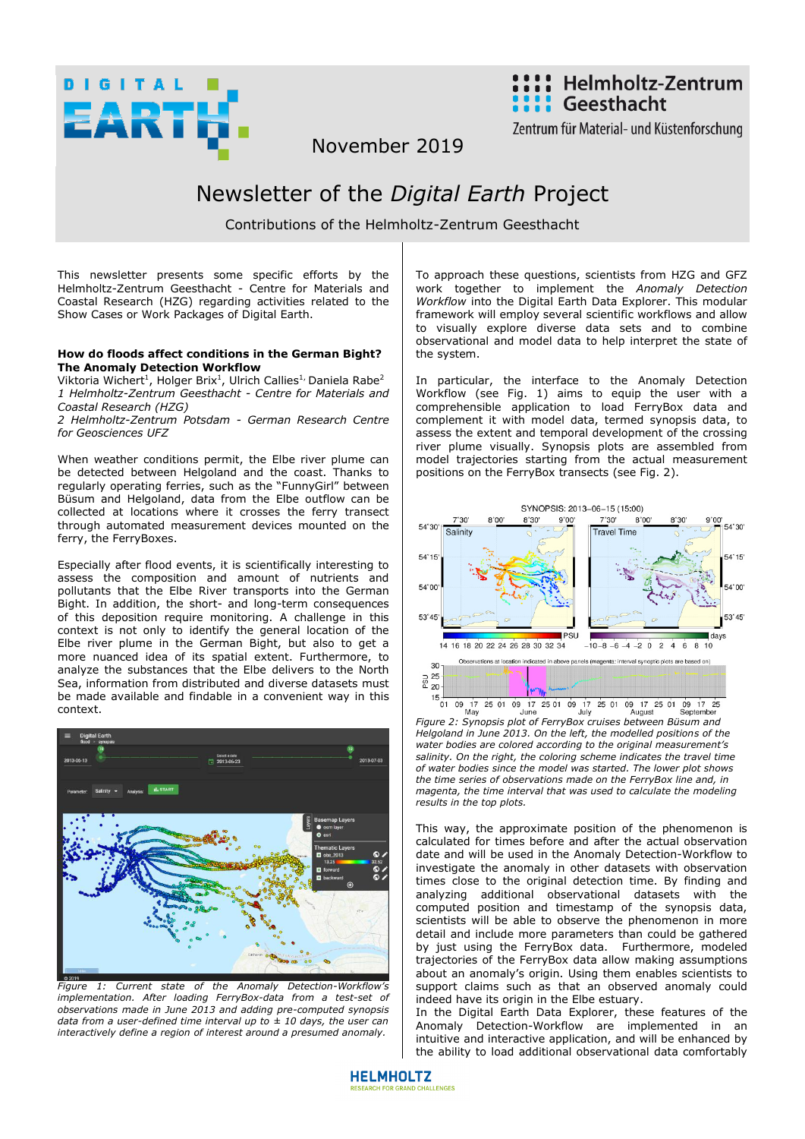



Zentrum für Material- und Küstenforschung

November 2019

## Newsletter of the *Digital Earth* Project

Contributions of the Helmholtz-Zentrum Geesthacht

This newsletter presents some specific efforts by the Helmholtz-Zentrum Geesthacht - Centre for Materials and Coastal Research (HZG) regarding activities related to the Show Cases or Work Packages of Digital Earth.

## **How do floods affect conditions in the German Bight? The Anomaly Detection Workflow**

Viktoria Wichert<sup>1</sup>, Holger Brix<sup>1</sup>, Ulrich Callies<sup>1,</sup> Daniela Rabe<sup>2</sup> *1 Helmholtz-Zentrum Geesthacht - Centre for Materials and Coastal Research (HZG)* 

*2 Helmholtz-Zentrum Potsdam - German Research Centre for Geosciences UFZ* 

When weather conditions permit, the Elbe river plume can be detected between Helgoland and the coast. Thanks to regularly operating ferries, such as the "FunnyGirl" between Büsum and Helgoland, data from the Elbe outflow can be collected at locations where it crosses the ferry transect through automated measurement devices mounted on the ferry, the FerryBoxes.

Especially after flood events, it is scientifically interesting to assess the composition and amount of nutrients and pollutants that the Elbe River transports into the German Bight. In addition, the short- and long-term consequences of this deposition require monitoring. A challenge in this context is not only to identify the general location of the Elbe river plume in the German Bight, but also to get a more nuanced idea of its spatial extent. Furthermore, to analyze the substances that the Elbe delivers to the North Sea, information from distributed and diverse datasets must be made available and findable in a convenient way in this context.



*Figure 1: Current state of the Anomaly Detection-Workflow's implementation. After loading FerryBox-data from a test-set of observations made in June 2013 and adding pre-computed synopsis data from a user-defined time interval up to ± 10 days, the user can interactively define a region of interest around a presumed anomaly.* 

To approach these questions, scientists from HZG and GFZ work together to implement the *Anomaly Detection Workflow* into the Digital Earth Data Explorer. This modular framework will employ several scientific workflows and allow to visually explore diverse data sets and to combine observational and model data to help interpret the state of the system.

In particular, the interface to the Anomaly Detection Workflow (see Fig. 1) aims to equip the user with a comprehensible application to load FerryBox data and complement it with model data, termed synopsis data, to assess the extent and temporal development of the crossing river plume visually. Synopsis plots are assembled from model trajectories starting from the actual measurement positions on the FerryBox transects (see Fig. 2).



*Figure 2: Synopsis plot of FerryBox cruises between Büsum and Helgoland in June 2013. On the left, the modelled positions of the water bodies are colored according to the original measurement's salinity. On the right, the coloring scheme indicates the travel time of water bodies since the model was started. The lower plot shows the time series of observations made on the FerryBox line and, in magenta, the time interval that was used to calculate the modeling results in the top plots.* 

This way, the approximate position of the phenomenon is calculated for times before and after the actual observation date and will be used in the Anomaly Detection-Workflow to investigate the anomaly in other datasets with observation times close to the original detection time. By finding and analyzing additional observational datasets with the computed position and timestamp of the synopsis data, scientists will be able to observe the phenomenon in more detail and include more parameters than could be gathered by just using the FerryBox data. Furthermore, modeled trajectories of the FerryBox data allow making assumptions about an anomaly's origin. Using them enables scientists to support claims such as that an observed anomaly could indeed have its origin in the Elbe estuary.

In the Digital Earth Data Explorer, these features of the Anomaly Detection-Workflow are implemented in an intuitive and interactive application, and will be enhanced by the ability to load additional observational data comfortably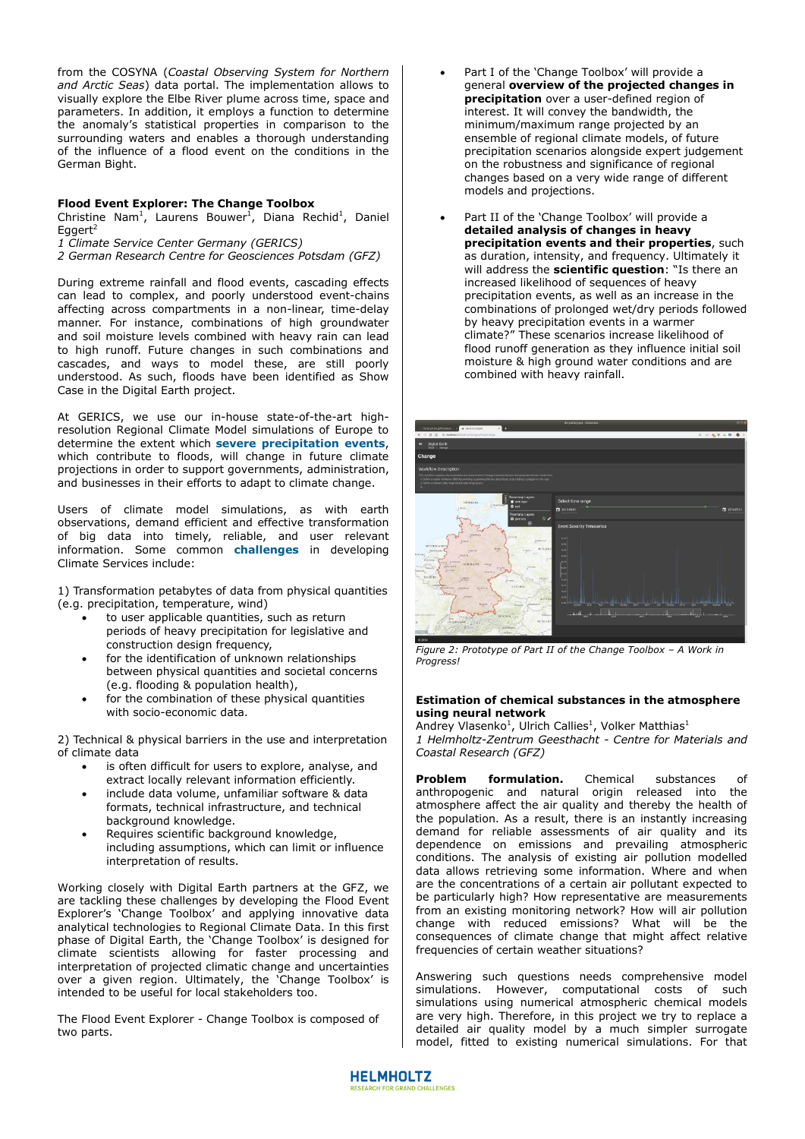from the COSYNA (*Coastal Observing System for Northern and Arctic Seas*) data portal. The implementation allows to visually explore the Elbe River plume across time, space and parameters. In addition, it employs a function to determine the anomaly's statistical properties in comparison to the surrounding waters and enables a thorough understanding of the influence of a flood event on the conditions in the German Bight.

## **Flood Event Explorer: The Change Toolbox**

Christine Nam<sup>1</sup>, Laurens Bouwer<sup>1</sup>, Diana Rechid<sup>1</sup>, Daniel Egger $t^2$ 

*1 Climate Service Center Germany (GERICS)*

*2 German Research Centre for Geosciences Potsdam (GFZ)*

During extreme rainfall and flood events, cascading effects can lead to complex, and poorly understood event-chains affecting across compartments in a non-linear, time-delay manner. For instance, combinations of high groundwater and soil moisture levels combined with heavy rain can lead to high runoff. Future changes in such combinations and cascades, and ways to model these, are still poorly understood. As such, floods have been identified as Show Case in the Digital Earth project.

At GERICS, we use our in-house state-of-the-art highresolution Regional Climate Model simulations of Europe to determine the extent which **severe precipitation events**, which contribute to floods, will change in future climate projections in order to support governments, administration, and businesses in their efforts to adapt to climate change.

Users of climate model simulations, as with earth observations, demand efficient and effective transformation of big data into timely, reliable, and user relevant information. Some common **challenges** in developing Climate Services include:

1) Transformation petabytes of data from physical quantities (e.g. precipitation, temperature, wind)

- to user applicable quantities, such as return periods of heavy precipitation for legislative and construction design frequency,
- for the identification of unknown relationships between physical quantities and societal concerns (e.g. flooding & population health),
- for the combination of these physical quantities with socio-economic data.

2) Technical & physical barriers in the use and interpretation of climate data

- is often difficult for users to explore, analyse, and extract locally relevant information efficiently.
- include data volume, unfamiliar software & data formats, technical infrastructure, and technical background knowledge.
- Requires scientific background knowledge, including assumptions, which can limit or influence interpretation of results.

Working closely with Digital Earth partners at the GFZ, we are tackling these challenges by developing the Flood Event Explorer's 'Change Toolbox' and applying innovative data analytical technologies to Regional Climate Data. In this first phase of Digital Earth, the 'Change Toolbox' is designed for climate scientists allowing for faster processing and interpretation of projected climatic change and uncertainties over a given region. Ultimately, the 'Change Toolbox' is intended to be useful for local stakeholders too.

The Flood Event Explorer - Change Toolbox is composed of two parts.

- Part I of the 'Change Toolbox' will provide a general **overview of the projected changes in precipitation** over a user-defined region of interest. It will convey the bandwidth, the minimum/maximum range projected by an ensemble of regional climate models, of future precipitation scenarios alongside expert judgement on the robustness and significance of regional changes based on a very wide range of different models and projections.
- Part II of the 'Change Toolbox' will provide a **detailed analysis of changes in heavy precipitation events and their properties**, such as duration, intensity, and frequency. Ultimately it will address the **scientific question**: "Is there an increased likelihood of sequences of heavy precipitation events, as well as an increase in the combinations of prolonged wet/dry periods followed by heavy precipitation events in a warmer climate?" These scenarios increase likelihood of flood runoff generation as they influence initial soil moisture & high ground water conditions and are combined with heavy rainfall.



*Figure 2: Prototype of Part II of the Change Toolbox - A Work in Progress!* 

## **Estimation of chemical substances in the atmosphere using neural network**

Andrey Vlasenko<sup>1</sup>, Ulrich Callies<sup>1</sup>, Volker Matthias<sup>1</sup> *1 Helmholtz-Zentrum Geesthacht - Centre for Materials and Coastal Research (GFZ)* 

**Problem formulation.** Chemical substances of anthropogenic and natural origin released into the atmosphere affect the air quality and thereby the health of the population. As a result, there is an instantly increasing demand for reliable assessments of air quality and its dependence on emissions and prevailing atmospheric conditions. The analysis of existing air pollution modelled data allows retrieving some information. Where and when are the concentrations of a certain air pollutant expected to be particularly high? How representative are measurements from an existing monitoring network? How will air pollution change with reduced emissions? What will be the consequences of climate change that might affect relative frequencies of certain weather situations?

Answering such questions needs comprehensive model simulations. However, computational costs of such simulations using numerical atmospheric chemical models are very high. Therefore, in this project we try to replace a detailed air quality model by a much simpler surrogate model, fitted to existing numerical simulations. For that